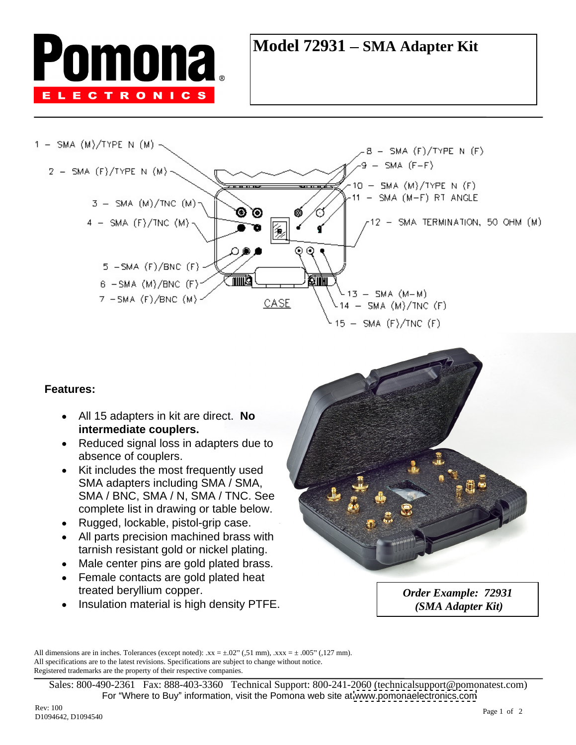

## **Model 72931 – SMA Adapter Kit**



- All 15 adapters in kit are direct. **No intermediate couplers.**
- Reduced signal loss in adapters due to absence of couplers.
- Kit includes the most frequently used SMA adapters including SMA / SMA, SMA / BNC, SMA / N, SMA / TNC. See complete list in drawing or table below.
- Rugged, lockable, pistol-grip case.
- All parts precision machined brass with tarnish resistant gold or nickel plating.
- Male center pins are gold plated brass.
- Female contacts are gold plated heat treated beryllium copper.  $Order\,Example: 72931$
- Insulation material is high density PTFE.



*Order Example: 72931 (SMA Adapter Kit)*

All dimensions are in inches. Tolerances (except noted):  $xx = \pm .02$ " (,51 mm),  $xxx = \pm .005$ " (,127 mm). All specifications are to the latest revisions. Specifications are subject to change without notice. Registered trademarks are the property of their respective companies.

Sales: 800-490-2361 Fax: 888-403-3360 Technical Support: 800-241-2060 (technicalsupport@pomonatest.com) For "Where to Buy" information, visit the Pomona web site at [www.pomonaelectronics.com](http://www.pomonaelectronics.com)